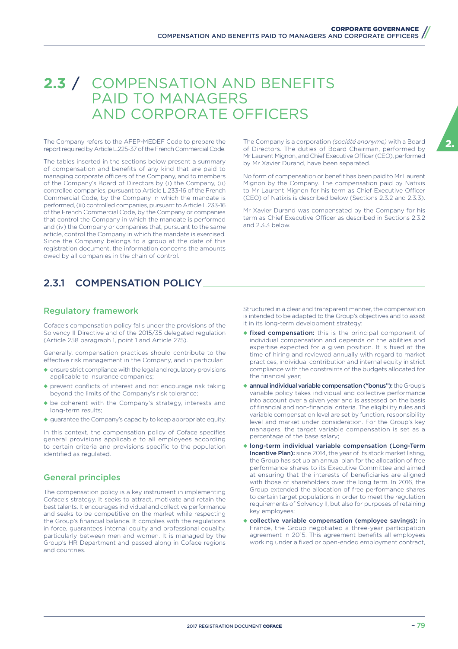# **2.3** / COMPENSATION AND BENEFITS PAID TO MANAGERS AND CORPORATE OFFICERS

The Company refers to the AFEP-MEDEF Code to prepare the report required by Article L.225-37 of the French Commercial Code.

The tables inserted in the sections below present a summary of compensation and benefits of any kind that are paid to managing corporate officers of the Company, and to members of the Company's Board of Directors by (i) the Company, (ii) controlled companies, pursuant to Article L.233-16 of the French Commercial Code, by the Company in which the mandate is performed, (iii) controlled companies, pursuant to Article L.233-16 of the French Commercial Code, by the Company or companies that control the Company in which the mandate is performed and (iv) the Company or companies that, pursuant to the same article, control the Company in which the mandate is exercised. Since the Company belongs to a group at the date of this registration document, the information concerns the amounts owed by all companies in the chain of control.

# 2.3.1 COMPENSATION POLICY

#### Regulatory framework

Coface's compensation policy falls under the provisions of the Solvency II Directive and of the 2015/35 delegated regulation (Article 258 paragraph 1, point 1 and Article 275).

Generally, compensation practices should contribute to the effective risk management in the Company, and in particular:

- $\bullet$  ensure strict compliance with the legal and regulatory provisions applicable to insurance companies;
- ◆ prevent conflicts of interest and not encourage risk taking beyond the limits of the Company's risk tolerance;
- ◆ be coherent with the Company's strategy, interests and long-term results;
- ◆ guarantee the Company's capacity to keep appropriate equity.

In this context, the compensation policy of Coface specifies general provisions applicable to all employees according to certain criteria and provisions specific to the population identified as regulated.

#### General principles

The compensation policy is a key instrument in implementing Coface's strategy. It seeks to attract, motivate and retain the best talents. It encourages individual and collective performance and seeks to be competitive on the market while respecting the Group's financial balance. It complies with the regulations in force, guarantees internal equity and professional equality, particularly between men and women. It is managed by the Group's HR Department and passed along in Coface regions and countries.

The Company is a corporation *(société anonyme)* with a Board of Directors. The duties of Board Chairman, performed by Mr Laurent Mignon, and Chief Executive Officer (CEO), performed by Mr Xavier Durand, have been separated.

No form of compensation or benefit has been paid to Mr Laurent Mignon by the Company. The compensation paid by Natixis to Mr Laurent Mignon for his term as Chief Executive Officer (CEO) of Natixis is described below (Sections 2.3.2 and 2.3.3).

Mr Xavier Durand was compensated by the Company for his term as Chief Executive Officer as described in Sections 2.3.2 and 2.3.3 below.

Structured in a clear and transparent manner, the compensation is intended to be adapted to the Group's objectives and to assist it in its long-term development strategy:

- ◆ fixed compensation: this is the principal component of individual compensation and depends on the abilities and expertise expected for a given position. It is fixed at the time of hiring and reviewed annually with regard to market practices, individual contribution and internal equity in strict compliance with the constraints of the budgets allocated for the financial year;
- ◆ annual individual variable compensation ("bonus"): the Group's variable policy takes individual and collective performance into account over a given year and is assessed on the basis of financial and non-financial criteria. The eligibility rules and variable compensation level are set by function, responsibility level and market under consideration. For the Group's key managers, the target variable compensation is set as a percentage of the base salary;
- ◆ long-term individual variable compensation (Long-Term Incentive Plan): since 2014, the year of its stock market listing, the Group has set up an annual plan for the allocation of free performance shares to its Executive Committee and aimed at ensuring that the interests of beneficiaries are aligned with those of shareholders over the long term. In 2016, the Group extended the allocation of free performance shares to certain target populations in order to meet the regulation requirements of Solvency II, but also for purposes of retaining key employees;
- ◆ collective variable compensation (employee savings): in France, the Group negotiated a three-year participation agreement in 2015. This agreement benefits all employees working under a fixed or open-ended employment contract,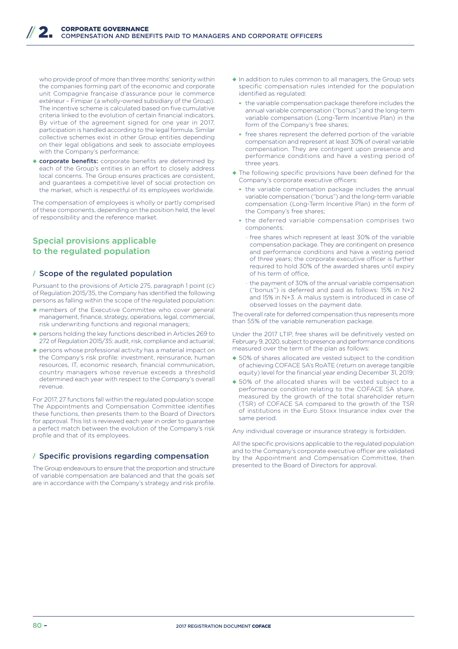who provide proof of more than three months' seniority within the companies forming part of the economic and corporate unit Compagnie française d'assurance pour le commerce extérieur – Fimipar (a wholly-owned subsidiary of the Group). The incentive scheme is calculated based on five cumulative criteria linked to the evolution of certain financial indicators. By virtue of the agreement signed for one year in 2017, participation is handled according to the legal formula. Similar collective schemes exist in other Group entities depending on their legal obligations and seek to associate employees with the Company's performance;

◆ corporate benefits: corporate benefits are determined by each of the Group's entities in an effort to closely address local concerns. The Group ensures practices are consistent, and guarantees a competitive level of social protection on the market, which is respectful of its employees worldwide.

The compensation of employees is wholly or partly comprised of these components, depending on the position held, the level of responsibility and the reference market.

#### Special provisions applicable to the regulated population

#### **/** Scope of the regulated population

Pursuant to the provisions of Article 275, paragraph 1 point (c) of Regulation 2015/35, the Company has identified the following persons as falling within the scope of the regulated population:

- ◆ members of the Executive Committee who cover general management, finance, strategy, operations, legal, commercial, risk underwriting functions and regional managers;
- ◆ persons holding the key functions described in Articles 269 to 272 of Regulation 2015/35: audit, risk, compliance and actuarial;
- ◆ persons whose professional activity has a material impact on the Company's risk profile: investment, reinsurance, human resources, IT, economic research, financial communication, country managers whose revenue exceeds a threshold determined each year with respect to the Company's overall revenue.

For 2017, 27 functions fall within the regulated population scope. The Appointments and Compensation Committee identifies these functions, then presents them to the Board of Directors for approval. This list is reviewed each year in order to guarantee a perfect match between the evolution of the Company's risk profile and that of its employees.

#### **/** Specific provisions regarding compensation

The Group endeavours to ensure that the proportion and structure of variable compensation are balanced and that the goals set are in accordance with the Company's strategy and risk profile.

- ◆ In addition to rules common to all managers, the Group sets specific compensation rules intended for the population identified as regulated:
	- the variable compensation package therefore includes the annual variable compensation ("bonus") and the long-term variable compensation (Long-Term Incentive Plan) in the form of the Company's free shares;
	- free shares represent the deferred portion of the variable compensation and represent at least 30% of overall variable compensation. They are contingent upon presence and performance conditions and have a vesting period of three years.
- ◆ The following specific provisions have been defined for the Company's corporate executive officers:
	- the variable compensation package includes the annual variable compensation ("bonus") and the long-term variable compensation (Long-Term Incentive Plan) in the form of the Company's free shares;
	- the deferred variable compensation comprises two components:
		- free shares which represent at least 30% of the variable compensation package. They are contingent on presence and performance conditions and have a vesting period of three years; the corporate executive officer is further required to hold 30% of the awarded shares until expiry of his term of office.
	- the payment of 30% of the annual variable compensation ("bonus") is deferred and paid as follows: 15% in N+2 and 15% in N+3. A malus system is introduced in case of observed losses on the payment date.

The overall rate for deferred compensation thus represents more than 55% of the variable remuneration package.

Under the 2017 LTIP, free shares will be definitively vested on February 9, 2020, subject to presence and performance conditions measured over the term of the plan as follows:

- ◆ 50% of shares allocated are vested subject to the condition of achieving COFACE SA's RoATE (return on average tangible equity) level for the financial year ending December 31, 2019;
- ◆ 50% of the allocated shares will be vested subject to a performance condition relating to the COFACE SA share, measured by the growth of the total shareholder return (TSR) of COFACE SA compared to the growth of the TSR of institutions in the Euro Stoxx Insurance index over the same period.

Any individual coverage or insurance strategy is forbidden.

All the specific provisions applicable to the regulated population and to the Company's corporate executive officer are validated by the Appointment and Compensation Committee, then presented to the Board of Directors for approval.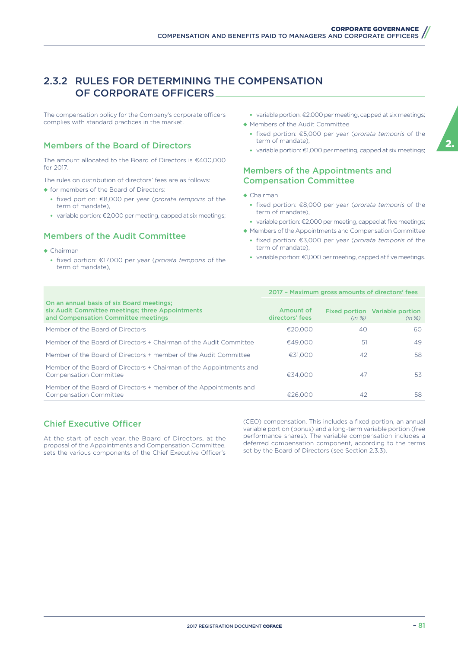#### 2.3.2 RULES FOR DETERMINING THE COMPENSATION OF CORPORATE OFFICERS

The compensation policy for the Company's corporate officers complies with standard practices in the market.

#### Members of the Board of Directors

The amount allocated to the Board of Directors is €400,000 for 2017.

The rules on distribution of directors' fees are as follows: ◆ for members of the Board of Directors:

- fixed portion: €8,000 per year (*prorata temporis* of the term of mandate),
- variable portion: €2,000 per meeting, capped at six meetings;

#### Members of the Audit Committee

- ◆ Chairman
	- fixed portion: €17,000 per year (*prorata temporis* of the term of mandate)
- variable portion: €2,000 per meeting, capped at six meetings;
- ◆ Members of the Audit Committee
	- fixed portion: €5,000 per year (*prorata temporis* of the term of mandate),
	- variable portion: €1,000 per meeting, capped at six meetings;

#### Members of the Appointments and Compensation Committee

- ◆ Chairman
	- fixed portion: €8,000 per year (*prorata temporis* of the term of mandate),
- variable portion: €2,000 per meeting, capped at five meetings;
- ◆ Members of the Appointments and Compensation Committee
	- fixed portion: €3,000 per year (*prorata temporis* of the term of mandate),
	- variable portion: €1,000 per meeting, capped at five meetings.

|                                                                                                                                      | 2017 - Maximum gross amounts of directors' fees |        |                                          |  |  |
|--------------------------------------------------------------------------------------------------------------------------------------|-------------------------------------------------|--------|------------------------------------------|--|--|
| On an annual basis of six Board meetings;<br>six Audit Committee meetings; three Appointments<br>and Compensation Committee meetings | Amount of<br>directors' fees                    | (in %) | Fixed portion Variable portion<br>(in %) |  |  |
| Member of the Board of Directors                                                                                                     | €20,000                                         | 40     | 60.                                      |  |  |
| Member of the Board of Directors + Chairman of the Audit Committee                                                                   | €49,000                                         | .51    | 49                                       |  |  |
| Member of the Board of Directors + member of the Audit Committee                                                                     | €31,000                                         | 42     | 58                                       |  |  |
| Member of the Board of Directors + Chairman of the Appointments and<br><b>Compensation Committee</b>                                 | €34.000                                         | 47     | 53                                       |  |  |
| Member of the Board of Directors + member of the Appointments and<br><b>Compensation Committee</b>                                   | €26.000                                         | 42     | 58                                       |  |  |

#### **Chief Executive Officer**

At the start of each year, the Board of Directors, at the proposal of the Appointments and Compensation Committee, sets the various components of the Chief Executive Officer's

(CEO) compensation. This includes a fixed portion, an annual variable portion (bonus) and a long-term variable portion (free performance shares). The variable compensation includes a deferred compensation component, according to the terms set by the Board of Directors (see Section 2.3.3).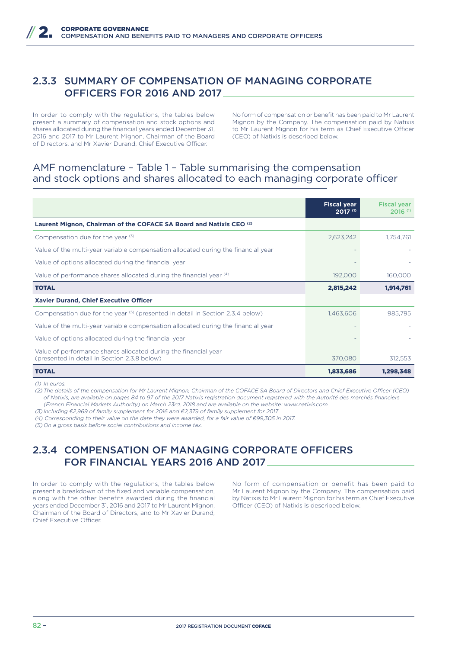### 2.3.3 SUMMARY OF COMPENSATION OF MANAGING CORPORATE OFFICERS FOR 2016 AND 2017

In order to comply with the regulations, the tables below present a summary of compensation and stock options and shares allocated during the financial years ended December 31, 2016 and 2017 to Mr Laurent Mignon, Chairman of the Board of Directors, and Mr Xavier Durand, Chief Executive Officer.

No form of compensation or benefit has been paid to Mr Laurent Mignon by the Company. The compensation paid by Natixis to Mr Laurent Mignon for his term as Chief Executive Officer (CEO) of Natixis is described below.

#### AMF nomenclature – Table 1 – Table summarising the compensation and stock options and shares allocated to each managing corporate officer

|                                                                                                                 | <b>Fiscal year</b><br>2017 (1) | <b>Fiscal year</b><br>$2016$ <sup>(1)</sup> |
|-----------------------------------------------------------------------------------------------------------------|--------------------------------|---------------------------------------------|
| Laurent Mignon, Chairman of the COFACE SA Board and Natixis CEO <sup>(2)</sup>                                  |                                |                                             |
| Compensation due for the year $(3)$                                                                             | 2,623,242                      | 1,754,761                                   |
| Value of the multi-year variable compensation allocated during the financial year                               |                                |                                             |
| Value of options allocated during the financial year                                                            |                                |                                             |
| Value of performance shares allocated during the financial year (4)                                             | 192,000                        | 160,000                                     |
| <b>TOTAL</b>                                                                                                    | 2,815,242                      | 1,914,761                                   |
| <b>Xavier Durand, Chief Executive Officer</b>                                                                   |                                |                                             |
| Compensation due for the year $(5)$ (presented in detail in Section 2.3.4 below)                                | 1,463,606                      | 985,795                                     |
| Value of the multi-year variable compensation allocated during the financial year                               |                                |                                             |
| Value of options allocated during the financial year                                                            |                                |                                             |
| Value of performance shares allocated during the financial year<br>(presented in detail in Section 2.3.8 below) | 370,080                        | 312,553                                     |
| <b>TOTAL</b>                                                                                                    | 1,833,686                      | 1,298,348                                   |

#### *(1) In euros.*

(2) The details of the compensation for Mr Laurent Mignon, Chairman of the COFACE SA Board of Directors and Chief Executive Officer (CEO) *of Natixis, are available on pages 84 to 97 of the 2017 Natixis registration document registered with the Autorité des marchés financiers (French Financial Markets Authority) on March 23rd, 2018 and are available on the website: www.natixis.com.*

*(3) Including €2,969 of family supplement for 2016 and €2,379 of family supplement for 2017.*

*(4) Corresponding to their value on the date they were awarded, for a fair value of €99,305 in 2017.*

*(5) On a gross basis before social contributions and income tax.*

### 2.3.4 COMPENSATION OF MANAGING CORPORATE OFFICERS FOR FINANCIAL YEARS 2016 AND 2017

In order to comply with the regulations, the tables below present a breakdown of the fixed and variable compensation, along with the other benefits awarded during the financial years ended December 31, 2016 and 2017 to Mr Laurent Mignon, Chairman of the Board of Directors, and to Mr Xavier Durand, Chief Executive Officer.

No form of compensation or benefit has been paid to Mr Laurent Mignon by the Company. The compensation paid by Natixis to Mr Laurent Mignon for his term as Chief Executive Officer (CEO) of Natixis is described below.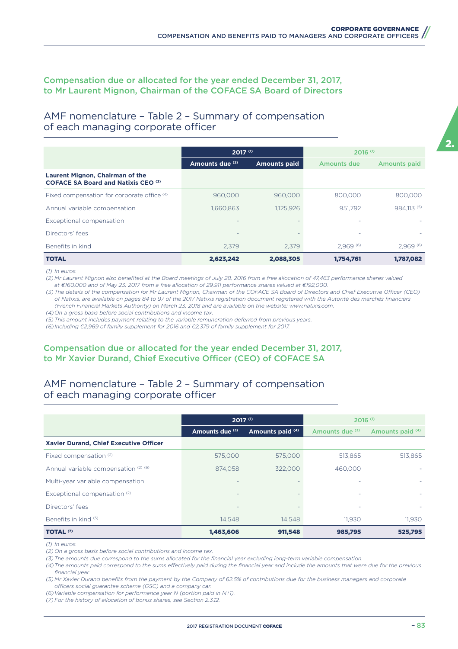#### Compensation due or allocated for the year ended December 31, 2017, to Mr Laurent Mignon, Chairman of the COFACE SA Board of Directors

#### AMF nomenclature – Table 2 – Summary of compensation of each managing corporate officer

|                                                                                      | $2017^{(1)}$    |                     | $2016$ <sup>(1)</sup> |                     |  |  |
|--------------------------------------------------------------------------------------|-----------------|---------------------|-----------------------|---------------------|--|--|
|                                                                                      | Amounts due (2) | <b>Amounts paid</b> | Amounts due           | <b>Amounts paid</b> |  |  |
| <b>Laurent Mignon, Chairman of the</b><br><b>COFACE SA Board and Natixis CEO (3)</b> |                 |                     |                       |                     |  |  |
| Fixed compensation for corporate office (4)                                          | 960,000         | 960,000             | 800,000               | 800,000             |  |  |
| Annual variable compensation                                                         | 1.660.863       | 1.125.926           | 951.792               | 984.113 (5)         |  |  |
| Exceptional compensation                                                             |                 |                     |                       |                     |  |  |
| Directors' fees                                                                      | -               |                     | ۰                     |                     |  |  |
| Benefits in kind                                                                     | 2.379           | 2.379               | 2.969(6)              | 2.969(6)            |  |  |
| <b>TOTAL</b>                                                                         | 2,623,242       | 2,088,305           | 1,754,761             | 1,787,082           |  |  |

*(1) In euros.*

*(2) Mr Laurent Mignon also benefited at the Board meetings of July 28, 2016 from a free allocation of 47,463 performance shares valued at €160,000 and of May 23, 2017 from a free allocation of 29,911 performance shares valued at €192,000.*

(3) The details of the compensation for Mr Laurent Mignon, Chairman of the COFACE SA Board of Directors and Chief Executive Officer (CEO) *of Natixis, are available on pages 84 to 97 of the 2017 Natixis registration document registered with the Autorité des marchés financiers (French Financial Markets Authority) on March 23, 2018 and are available on the website: www.natixis.com.*

*(4) On a gross basis before social contributions and income tax.* 

*(5) This amount includes payment relating to the variable remuneration deferred from previous years.*

*(6) Including €2,969 of family supplement for 2016 and €2,379 of family supplement for 2017.*

#### Compensation due or allocated for the year ended December 31, 2017, to Mr Xavier Durand, Chief Executive Officer (CEO) of COFACE SA

### AMF nomenclature – Table 2 – Summary of compensation of each managing corporate officer

|                                        | $2017^{(1)}$                        |         | $2016$ <sup>(1)</sup> |                  |  |
|----------------------------------------|-------------------------------------|---------|-----------------------|------------------|--|
|                                        | Amounts due (3)<br>Amounts paid (4) |         | Amounts due (3)       | Amounts paid (4) |  |
| Xavier Durand, Chief Executive Officer |                                     |         |                       |                  |  |
| Fixed compensation <sup>(2)</sup>      | 575,000                             | 575,000 | 513,865               | 513,865          |  |
| Annual variable compensation (2) (6)   | 874,058                             | 322,000 | 460,000               |                  |  |
| Multi-year variable compensation       |                                     |         |                       |                  |  |
| Exceptional compensation (2)           | $\overline{\phantom{a}}$            |         | ٠                     |                  |  |
| Directors' fees                        |                                     |         |                       |                  |  |
| Benefits in kind (5)                   | 14.548                              | 14.548  | 11.930                | 11.930           |  |
| <b>TOTAL (7)</b>                       | 1,463,606                           | 911,548 | 985,795               | 525,795          |  |

*(1) In euros.*

*(2) On a gross basis before social contributions and income tax.*

*(3) The amounts due correspond to the sums allocated for the financial year excluding long-term variable compensation.*

(4) The amounts paid correspond to the sums effectively paid during the financial year and include the amounts that were due for the previous *financial year.*

*(5) Mr Xavier Durand benefits from the payment by the Company of 62.5% of contributions due for the business managers and corporate*  officers social guarantee scheme (GSC) and a company car.

*(6) Variable compensation for performance year N (portion paid in N+1).*

*(7) For the history of allocation of bonus shares, see Section 2.3.12.*

2.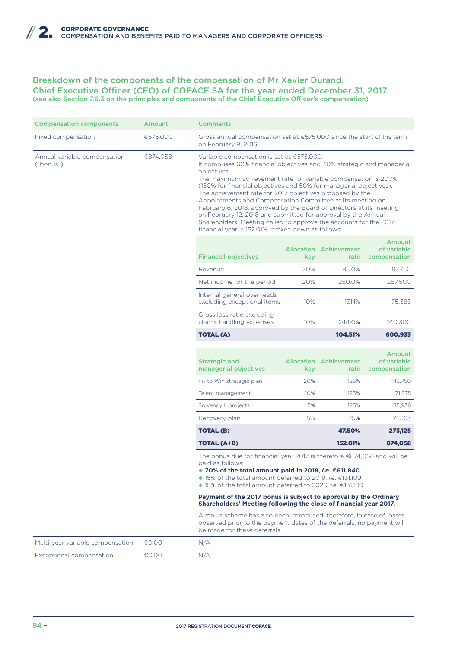#### Breakdown of the components of the compensation of Mr Xavier Durand, Chief Executive Officer (CEO) of COFACE SA for the year ended December 31, 2017 (see also Section 7.6.3 on the principles and components of the Chief Executive Officer's compensation)

| <b>Compensation components</b>            | Amount   | <b>Comments</b>                                                                                                                                                                                                                                                                                                                                                                                                                                                                                                                                                                                                                                                          |         |                                       |                                              |  |  |
|-------------------------------------------|----------|--------------------------------------------------------------------------------------------------------------------------------------------------------------------------------------------------------------------------------------------------------------------------------------------------------------------------------------------------------------------------------------------------------------------------------------------------------------------------------------------------------------------------------------------------------------------------------------------------------------------------------------------------------------------------|---------|---------------------------------------|----------------------------------------------|--|--|
| Fixed compensation                        | €575,000 | Gross annual compensation set at $£575,000$ since the start of his term<br>on February 9, 2016.                                                                                                                                                                                                                                                                                                                                                                                                                                                                                                                                                                          |         |                                       |                                              |  |  |
| Annual variable compensation<br>("bonus") | €874.058 | Variable compensation is set at $£575,000.$<br>It comprises 60% financial objectives and 40% strategic and managerial<br>objectives.<br>The maximum achievement rate for variable compensation is 200%<br>(150% for financial objectives and 50% for managerial objectives).<br>The achievement rate for 2017 objectives proposed by the<br>Appointments and Compensation Committee at its meeting on<br>February 6, 2018, approved by the Board of Directors at its meeting<br>on February 12, 2018 and submitted for approval by the Annual<br>Shareholders' Meeting called to approve the accounts for the 2017<br>financial year is 152.01%, broken down as follows: |         |                                       |                                              |  |  |
|                                           |          | <b>Financial objectives</b>                                                                                                                                                                                                                                                                                                                                                                                                                                                                                                                                                                                                                                              | key     | <b>Allocation Achievement</b><br>rate | <b>Amount</b><br>of variable<br>compensation |  |  |
|                                           |          | Revenue                                                                                                                                                                                                                                                                                                                                                                                                                                                                                                                                                                                                                                                                  | 20%     | 85.0%                                 | 97,750                                       |  |  |
|                                           |          | Net income for the period                                                                                                                                                                                                                                                                                                                                                                                                                                                                                                                                                                                                                                                | 20%     | 250.0%                                | 287,500                                      |  |  |
|                                           |          | Internal general overheads<br>excluding exceptional items                                                                                                                                                                                                                                                                                                                                                                                                                                                                                                                                                                                                                | 10%     | 131.1%                                | 75,383                                       |  |  |
|                                           |          | Gross loss ratio excluding<br>claims handling expenses                                                                                                                                                                                                                                                                                                                                                                                                                                                                                                                                                                                                                   | 10%     | 244.0%                                | 140,300                                      |  |  |
|                                           |          | <b>TOTAL (A)</b>                                                                                                                                                                                                                                                                                                                                                                                                                                                                                                                                                                                                                                                         | 600,933 |                                       |                                              |  |  |
|                                           |          |                                                                                                                                                                                                                                                                                                                                                                                                                                                                                                                                                                                                                                                                          |         |                                       |                                              |  |  |
|                                           |          | <b>Strategic and</b><br>managerial objectives                                                                                                                                                                                                                                                                                                                                                                                                                                                                                                                                                                                                                            | key     | <b>Allocation Achievement</b><br>rate | <b>Amount</b><br>of variable<br>compensation |  |  |
|                                           |          | Fit to Win strategic plan                                                                                                                                                                                                                                                                                                                                                                                                                                                                                                                                                                                                                                                | 20%     | 125%                                  | 143,750                                      |  |  |
|                                           |          | Talent management                                                                                                                                                                                                                                                                                                                                                                                                                                                                                                                                                                                                                                                        | 10%     | 125%                                  | 71,875                                       |  |  |
|                                           |          | Solvency II projects                                                                                                                                                                                                                                                                                                                                                                                                                                                                                                                                                                                                                                                     | 5%      | 125%                                  | 35,938                                       |  |  |
|                                           |          | Recovery plan                                                                                                                                                                                                                                                                                                                                                                                                                                                                                                                                                                                                                                                            | 5%      | 75%                                   | 21,563                                       |  |  |
|                                           |          | <b>TOTAL (B)</b>                                                                                                                                                                                                                                                                                                                                                                                                                                                                                                                                                                                                                                                         |         | 47.50%                                | 273,125                                      |  |  |
|                                           |          | <b>TOTAL (A+B)</b>                                                                                                                                                                                                                                                                                                                                                                                                                                                                                                                                                                                                                                                       |         | 152.01%                               | 874,058                                      |  |  |
|                                           |          | The bonus due for financial year 2017 is therefore €874,058 and will be<br>paid as follows:<br>◆ 70% of the total amount paid in 2018, i.e. €611,840<br>◆ 15% of the total amount deferred to 2019, i.e. €131,109<br>◆ 15% of the total amount deferred to 2020, i.e. €131,109                                                                                                                                                                                                                                                                                                                                                                                           |         |                                       |                                              |  |  |
|                                           |          | Payment of the 2017 bonus is subject to approval by the Ordinary<br>Shareholders' Meeting following the close of financial year 2017.                                                                                                                                                                                                                                                                                                                                                                                                                                                                                                                                    |         |                                       |                                              |  |  |
|                                           |          | A malus scheme has also been introduced: therefore, in case of losses<br>observed prior to the payment dates of the deferrals, no payment will<br>be made for these deferrals.                                                                                                                                                                                                                                                                                                                                                                                                                                                                                           |         |                                       |                                              |  |  |
| Multi-year variable compensation          | €0.00    | N/A                                                                                                                                                                                                                                                                                                                                                                                                                                                                                                                                                                                                                                                                      |         |                                       |                                              |  |  |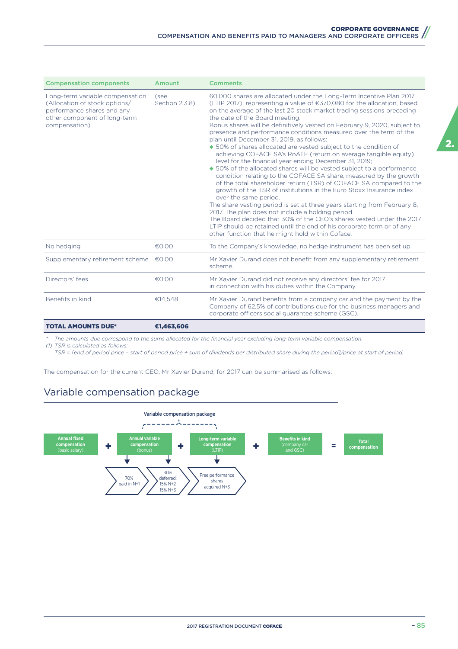| <b>Compensation components</b>                                                                                                                  | Amount                 | <b>Comments</b>                                                                                                                                                                                                                                                                                                                                                                                                                                                                                                                                                                                                                                                                                                                                                                                                                                                                                                                                                                                                                                                                                                                                                                                                                                                                                                    |
|-------------------------------------------------------------------------------------------------------------------------------------------------|------------------------|--------------------------------------------------------------------------------------------------------------------------------------------------------------------------------------------------------------------------------------------------------------------------------------------------------------------------------------------------------------------------------------------------------------------------------------------------------------------------------------------------------------------------------------------------------------------------------------------------------------------------------------------------------------------------------------------------------------------------------------------------------------------------------------------------------------------------------------------------------------------------------------------------------------------------------------------------------------------------------------------------------------------------------------------------------------------------------------------------------------------------------------------------------------------------------------------------------------------------------------------------------------------------------------------------------------------|
| Long-term variable compensation<br>(Allocation of stock options/<br>performance shares and any<br>other component of long-term<br>compensation) | (see<br>Section 2.3.8) | 60,000 shares are allocated under the Long-Term Incentive Plan 2017<br>(LTIP 2017), representing a value of €370,080 for the allocation, based<br>on the average of the last 20 stock market trading sessions preceding<br>the date of the Board meeting.<br>Bonus shares will be definitively vested on February 9, 2020, subject to<br>presence and performance conditions measured over the term of the<br>plan until December 31, 2019, as follows:<br>◆ 50% of shares allocated are vested subject to the condition of<br>achieving COFACE SA's RoATE (return on average tangible equity)<br>level for the financial year ending December 31, 2019;<br>◆ 50% of the allocated shares will be vested subject to a performance<br>condition relating to the COFACE SA share, measured by the growth<br>of the total shareholder return (TSR) of COFACE SA compared to the<br>growth of the TSR of institutions in the Euro Stoxx Insurance index<br>over the same period.<br>The share vesting period is set at three years starting from February 8,<br>2017. The plan does not include a holding period.<br>The Board decided that 30% of the CEO's shares vested under the 2017<br>LTIP should be retained until the end of his corporate term or of any<br>other function that he might hold within Coface. |
| No hedging                                                                                                                                      | €0.00                  | To the Company's knowledge, no hedge instrument has been set up.                                                                                                                                                                                                                                                                                                                                                                                                                                                                                                                                                                                                                                                                                                                                                                                                                                                                                                                                                                                                                                                                                                                                                                                                                                                   |
| Supplementary retirement scheme €0.00                                                                                                           |                        | Mr Xavier Durand does not benefit from any supplementary retirement<br>scheme.                                                                                                                                                                                                                                                                                                                                                                                                                                                                                                                                                                                                                                                                                                                                                                                                                                                                                                                                                                                                                                                                                                                                                                                                                                     |
| Directors' fees                                                                                                                                 | €0.00                  | Mr Xavier Durand did not receive any directors' fee for 2017<br>in connection with his duties within the Company.                                                                                                                                                                                                                                                                                                                                                                                                                                                                                                                                                                                                                                                                                                                                                                                                                                                                                                                                                                                                                                                                                                                                                                                                  |
| Benefits in kind                                                                                                                                | €14.548                | Mr Xavier Durand benefits from a company car and the payment by the<br>Company of 62.5% of contributions due for the business managers and<br>corporate officers social guarantee scheme (GSC).                                                                                                                                                                                                                                                                                                                                                                                                                                                                                                                                                                                                                                                                                                                                                                                                                                                                                                                                                                                                                                                                                                                    |
| <b>TOTAL AMOUNTS DUE*</b>                                                                                                                       | €1,463,606             |                                                                                                                                                                                                                                                                                                                                                                                                                                                                                                                                                                                                                                                                                                                                                                                                                                                                                                                                                                                                                                                                                                                                                                                                                                                                                                                    |

*\* The amounts due correspond to the sums allocated for the financial year excluding long-term variable compensation.*

*(1) TSR is calculated as follows:*

 *TSR = [end of period price – start of period price + sum of dividends per distributed share during the period]/price at start of period.*

The compensation for the current CEO, Mr Xavier Durand, for 2017 can be summarised as follows:

# Variable compensation package

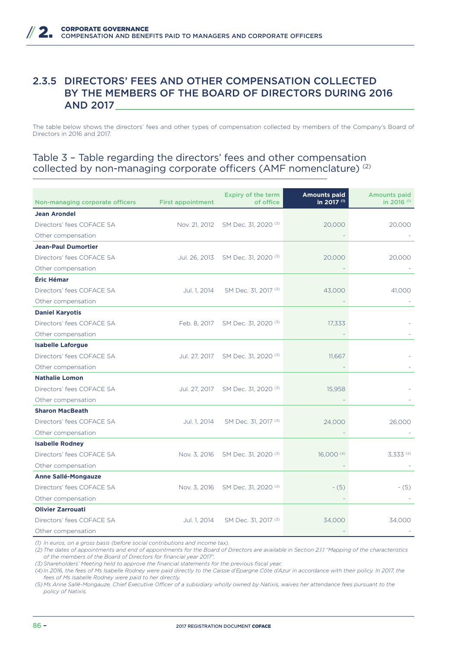### 2.3.5 DIRECTORS' FEES AND OTHER COMPENSATION COLLECTED BY THE MEMBERS OF THE BOARD OF DIRECTORS DURING 2016 AND 2017

The table below shows the directors' fees and other types of compensation collected by members of the Company's Board of Directors in 2016 and 2017.

#### Table 3 – Table regarding the directors' fees and other compensation collected by non-managing corporate officers (AMF nomenclature) (2)

| Non-managing corporate officers | <b>First appointment</b> | Expiry of the term<br>of office | <b>Amounts paid</b><br>in 2017 (1) | <b>Amounts paid</b><br>in 2016 <sup>(1)</sup> |
|---------------------------------|--------------------------|---------------------------------|------------------------------------|-----------------------------------------------|
| <b>Jean Arondel</b>             |                          |                                 |                                    |                                               |
| Directors' fees COFACE SA       | Nov. 21, 2012            | SM Dec. 31, 2020 <sup>(3)</sup> | 20,000                             | 20,000                                        |
| Other compensation              |                          |                                 |                                    |                                               |
| <b>Jean-Paul Dumortier</b>      |                          |                                 |                                    |                                               |
| Directors' fees COFACE SA       | Jul. 26, 2013            | SM Dec. 31, 2020 <sup>(3)</sup> | 20,000                             | 20,000                                        |
| Other compensation              |                          |                                 |                                    |                                               |
| Éric Hémar                      |                          |                                 |                                    |                                               |
| Directors' fees COFACE SA       | Jul. 1, 2014             | SM Dec. 31, 2017 (3)            | 43,000                             | 41,000                                        |
| Other compensation              |                          |                                 |                                    |                                               |
| <b>Daniel Karyotis</b>          |                          |                                 |                                    |                                               |
| Directors' fees COFACE SA       | Feb. 8, 2017             | SM Dec. 31, 2020 (3)            | 17,333                             |                                               |
| Other compensation              |                          |                                 |                                    |                                               |
| <b>Isabelle Laforgue</b>        |                          |                                 |                                    |                                               |
| Directors' fees COFACE SA       | Jul. 27, 2017            | SM Dec. 31, 2020 <sup>(3)</sup> | 11.667                             |                                               |
| Other compensation              |                          |                                 |                                    |                                               |
| <b>Nathalie Lomon</b>           |                          |                                 |                                    |                                               |
| Directors' fees COFACE SA       | Jul. 27, 2017            | SM Dec. 31, 2020 <sup>(3)</sup> | 15,958                             |                                               |
| Other compensation              |                          |                                 |                                    |                                               |
| <b>Sharon MacBeath</b>          |                          |                                 |                                    |                                               |
| Directors' fees COFACE SA       | Jul. 1, 2014             | SM Dec. 31, 2017 (3)            | 24,000                             | 26,000                                        |
| Other compensation              |                          |                                 |                                    |                                               |
| <b>Isabelle Rodney</b>          |                          |                                 |                                    |                                               |
| Directors' fees COFACE SA       | Nov. 3, 2016             | SM Dec. 31, 2020 <sup>(3)</sup> | 16,000 $(4)$                       | 3.333(4)                                      |
| Other compensation              |                          |                                 |                                    |                                               |
| <b>Anne Sallé-Mongauze</b>      |                          |                                 |                                    |                                               |
| Directors' fees COFACE SA       | Nov. 3, 2016             | SM Dec. 31, 2020 <sup>(3)</sup> | $- (5)$                            | $-(5)$                                        |
| Other compensation              |                          |                                 |                                    |                                               |
| <b>Olivier Zarrouati</b>        |                          |                                 |                                    |                                               |
| Directors' fees COFACE SA       | Jul. 1, 2014             | SM Dec. 31, 2017 <sup>(3)</sup> | 34,000                             | 34.000                                        |
| Other compensation              |                          |                                 |                                    |                                               |

*(1) In euros, on a gross basis (before social contributions and income tax).*

*(2) The dates of appointments and end of appointments for the Board of Directors are available in Section 2.1.1 "Mapping of the characteristics of the members of the Board of Directors for financial year 2017".*

*(3) Shareholders' Meeting held to approve the financial statements for the previous fiscal year.*

*(4) In 2016, the fees of Ms Isabelle Rodney were paid directly to the Caisse d'Epargne Côte d'Azur in accordance with their policy. In 2017, the fees of Ms Isabelle Rodney were paid to her directly.*

(5) Ms Anne Sallé-Mongauze, Chief Executive Officer of a subsidiary wholly owned by Natixis, waives her attendance fees pursuant to the *policy of Natixis.*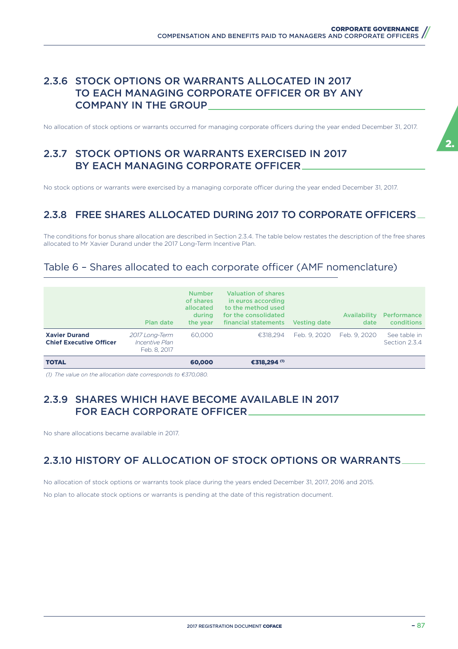### 2.3.6 STOCK OPTIONS OR WARRANTS ALLOCATED IN 2017 TO EACH MANAGING CORPORATE OFFICER OR BY ANY COMPANY IN THE GROUP

No allocation of stock options or warrants occurred for managing corporate officers during the year ended December 31, 2017.

# 2.3.7 STOCK OPTIONS OR WARRANTS EXERCISED IN 2017 BY EACH MANAGING CORPORATE OFFICER

No stock options or warrants were exercised by a managing corporate officer during the year ended December 31, 2017.

# 2.3.8 FREE SHARES ALLOCATED DURING 2017 TO CORPORATE OFFICERS

The conditions for bonus share allocation are described in Section 2.3.4. The table below restates the description of the free shares allocated to Mr Xavier Durand under the 2017 Long-Term Incentive Plan.

## Table 6 - Shares allocated to each corporate officer (AMF nomenclature)

|                                                        | Plan date                                        | <b>Number</b><br>of shares<br>allocated<br>during<br>the year | <b>Valuation of shares</b><br>in euros according<br>to the method used<br>for the consolidated<br>financial statements | Vesting date | <b>Availability</b><br>date | <b>Performance</b><br>conditions |
|--------------------------------------------------------|--------------------------------------------------|---------------------------------------------------------------|------------------------------------------------------------------------------------------------------------------------|--------------|-----------------------------|----------------------------------|
| <b>Xavier Durand</b><br><b>Chief Executive Officer</b> | 2017 Long-Term<br>Incentive Plan<br>Feb. 8, 2017 | 60,000                                                        | €318.294                                                                                                               | Feb. 9, 2020 | Feb. 9, 2020                | See table in<br>Section 2.3.4    |
| <b>TOTAL</b>                                           |                                                  | 60,000                                                        | €318.294 (1)                                                                                                           |              |                             |                                  |

*(1) The value on the allocation date corresponds to €370,080.*

#### 2.3.9 SHARES WHICH HAVE BECOME AVAILABLE IN 2017 FOR EACH CORPORATE OFFICER

No share allocations became available in 2017.

## 2.3.10 HISTORY OF ALLOCATION OF STOCK OPTIONS OR WARRANTS

No allocation of stock options or warrants took place during the years ended December 31, 2017, 2016 and 2015.

No plan to allocate stock options or warrants is pending at the date of this registration document.

2.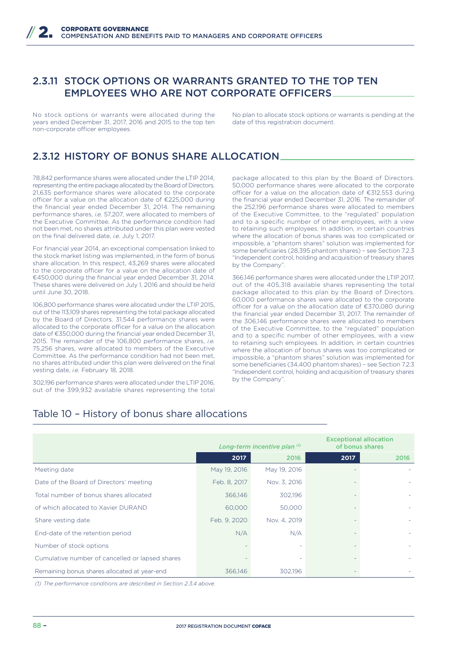### 2.3.11 STOCK OPTIONS OR WARRANTS GRANTED TO THE TOP TEN EMPLOYEES WHO ARE NOT CORPORATE OFFICERS

No stock options or warrants were allocated during the years ended December 31, 2017, 2016 and 2015 to the top ten non-corporate officer employees.

No plan to allocate stock options or warrants is pending at the date of this registration document.

# 2.3.12 HISTORY OF BONUS SHARE ALLOCATION

78,842 performance shares were allocated under the LTIP 2014, representing the entire package allocated by the Board of Directors. 21,635 performance shares were allocated to the corporate officer for a value on the allocation date of €225,000 during the financial year ended December 31, 2014. The remaining performance shares, *i.e.* 57,207, were allocated to members of the Executive Committee. As the performance condition had not been met, no shares attributed under this plan were vested on the final delivered date, *i.e.* July 1, 2017.

For financial year 2014, an exceptional compensation linked to the stock market listing was implemented, in the form of bonus share allocation. In this respect, 43,269 shares were allocated to the corporate officer for a value on the allocation date of €450,000 during the financial year ended December 31, 2014. These shares were delivered on July 1, 2016 and should be held until June 30, 2018.

106,800 performance shares were allocated under the LTIP 2015, out of the 113,109 shares representing the total package allocated by the Board of Directors. 31,544 performance shares were allocated to the corporate officer for a value on the allocation date of €350,000 during the financial year ended December 31, 2015. The remainder of the 106,800 performance shares, *i.e.* 75,256 shares, were allocated to members of the Executive Committee. As the performance condition had not been met no shares attributed under this plan were delivered on the final vesting date, *i.e.* February 18, 2018.

302,196 performance shares were allocated under the LTIP 2016, out of the 399,932 available shares representing the total package allocated to this plan by the Board of Directors. 50,000 performance shares were allocated to the corporate officer for a value on the allocation date of €312,553 during the financial year ended December 31, 2016. The remainder of the 252,196 performance shares were allocated to members of the Executive Committee, to the "regulated" population and to a specific number of other employees, with a view to retaining such employees. In addition, in certain countries where the allocation of bonus shares was too complicated or impossible, a "phantom shares" solution was implemented for some beneficiaries (28,395 phantom shares) – see Section 7.2.3 "Independent control, holding and acquisition of treasury shares by the Company".

366,146 performance shares were allocated under the LTIP 2017, out of the 405,318 available shares representing the total package allocated to this plan by the Board of Directors. 60,000 performance shares were allocated to the corporate officer for a value on the allocation date of  $£370,080$  during the financial year ended December 31, 2017. The remainder of the 306,146 performance shares were allocated to members of the Executive Committee, to the "regulated" population and to a specific number of other employees, with a view to retaining such employees. In addition, in certain countries where the allocation of bonus shares was too complicated or impossible, a "phantom shares" solution was implemented for some beneficiaries (34,400 phantom shares) – see Section 7.2.3 "Independent control, holding and acquisition of treasury shares by the Company".

## Table 10 – History of bonus share allocations

|                                                 |              | Long-term incentive plan (1) | <b>Exceptional allocation</b><br>of bonus shares |      |  |
|-------------------------------------------------|--------------|------------------------------|--------------------------------------------------|------|--|
|                                                 | 2017         | 2016                         | 2017                                             | 2016 |  |
| Meeting date                                    | May 19, 2016 | May 19, 2016                 |                                                  |      |  |
| Date of the Board of Directors' meeting         | Feb. 8, 2017 | Nov. 3, 2016                 |                                                  |      |  |
| Total number of bonus shares allocated          | 366,146      | 302,196                      |                                                  |      |  |
| of which allocated to Xavier DURAND             | 60,000       | 50,000                       |                                                  |      |  |
| Share vesting date                              | Feb. 9, 2020 | Nov. 4, 2019                 |                                                  |      |  |
| End-date of the retention period                | N/A          | N/A                          |                                                  |      |  |
| Number of stock options                         |              |                              |                                                  |      |  |
| Cumulative number of cancelled or lapsed shares |              | ٠                            |                                                  |      |  |
| Remaining bonus shares allocated at year-end    | 366,146      | 302,196                      |                                                  |      |  |

*(1) The performance conditions are described in Section 2.3.4 above.*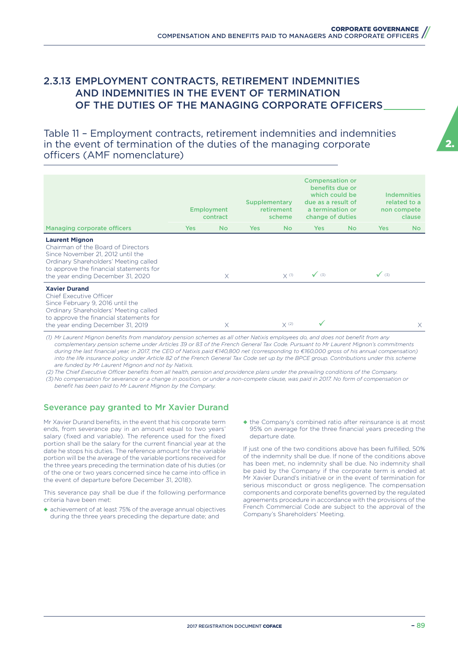### 2.3.13 EMPLOYMENT CONTRACTS, RETIREMENT INDEMNITIES AND INDEMNITIES IN THE EVENT OF TERMINATION OF THE DUTIES OF THE MANAGING CORPORATE OFFICERS

Table 11 – Employment contracts, retirement indemnities and indemnities in the event of termination of the duties of the managing corporate officers (AMF nomenclature)

|                                                                                                                                                                                                                           |            | <b>Employment</b><br>contract | Supplementary | retirement<br>scheme | <b>Compensation or</b><br>benefits due or<br>which could be<br>due as a result of<br>a termination or<br>change of duties |     |              | <b>Indemnities</b><br>related to a<br>non compete<br>clause |
|---------------------------------------------------------------------------------------------------------------------------------------------------------------------------------------------------------------------------|------------|-------------------------------|---------------|----------------------|---------------------------------------------------------------------------------------------------------------------------|-----|--------------|-------------------------------------------------------------|
| <b>Managing corporate officers</b>                                                                                                                                                                                        | <b>Yes</b> | <b>No</b>                     | Yes           | No.                  | Yes                                                                                                                       | No. | <b>Yes</b>   | No.                                                         |
| <b>Laurent Mignon</b><br>Chairman of the Board of Directors<br>Since November 21, 2012 until the<br>Ordinary Shareholders' Meeting called<br>to approve the financial statements for<br>the year ending December 31, 2020 |            | $\times$                      |               | $X$ <sup>(1)</sup>   | $\sqrt{(3)}$                                                                                                              |     | $\sqrt{(3)}$ |                                                             |
| <b>Xavier Durand</b><br><b>Chief Executive Officer</b><br>Since February 9, 2016 until the<br>Ordinary Shareholders' Meeting called<br>to approve the financial statements for<br>the year ending December 31, 2019       |            | X                             |               | $X^{(2)}$            |                                                                                                                           |     |              | X                                                           |

*(1) Mr Laurent Mignon benefits from mandatory pension schemes as all other Natixis employees do, and does not benefit from any complementary pension scheme under Articles 39 or 83 of the French General Tax Code. Pursuant to Mr Laurent Mignon's commitments during the last financial year, in 2017, the CEO of Natixis paid €140,800 net (corresponding to €160,000 gross of his annual compensation) into the life insurance policy under Article 82 of the French General Tax Code set up by the BPCE group. Contributions under this scheme are funded by Mr Laurent Mignon and not by Natixis.*

(2) The Chief Executive Officer benefits from all health, pension and providence plans under the prevailing conditions of the Company. *(3) No compensation for severance or a change in position, or under a non-compete clause, was paid in 2017. No form of compensation or* 

*benefit has been paid to Mr Laurent Mignon by the Company.*

#### Severance pay granted to Mr Xavier Durand

Mr Xavier Durand benefits, in the event that his corporate term ends, from severance pay in an amount equal to two years' salary (fixed and variable). The reference used for the fixed portion shall be the salary for the current financial year at the date he stops his duties. The reference amount for the variable portion will be the average of the variable portions received for the three years preceding the termination date of his duties (or of the one or two years concerned since he came into office in the event of departure before December 31, 2018).

This severance pay shall be due if the following performance criteria have been met:

◆ achievement of at least 75% of the average annual objectives during the three years preceding the departure date; and

◆ the Company's combined ratio after reinsurance is at most 95% on average for the three financial years preceding the departure date.

If just one of the two conditions above has been fulfilled, 50% of the indemnity shall be due. If none of the conditions above has been met, no indemnity shall be due. No indemnity shall be paid by the Company if the corporate term is ended at Mr Xavier Durand's initiative or in the event of termination for serious misconduct or gross negligence. The compensation components and corporate benefits governed by the regulated agreements procedure in accordance with the provisions of the French Commercial Code are subject to the approval of the Company's Shareholders' Meeting.